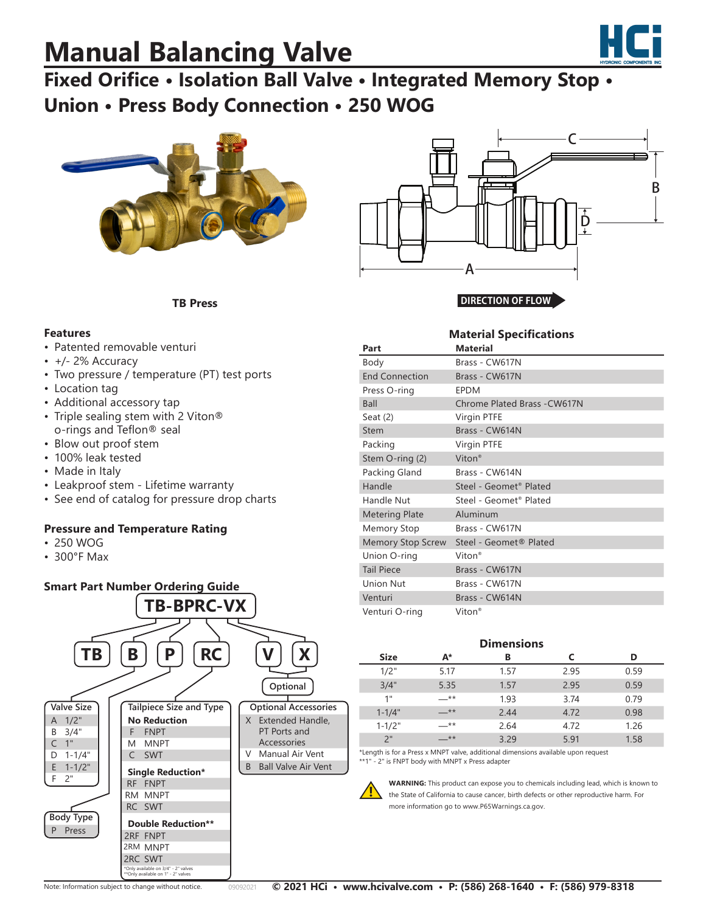# **Manual Balancing Valve**



### **Fixed Orifice • Isolation Ball Valve • Integrated Memory Stop • Union • Press Body Connection • 250 WOG**



**TB Press**



**DIRECTION OF FLOW**

**Material Specifications**

#### **Features**

- Patented removable venturi
- $\cdot$  +/- 2% Accuracy
- Two pressure / temperature (PT) test ports
- Location tag
- Additional accessory tap
- Triple sealing stem with 2 Viton® o-rings and Teflon® seal
- Blow out proof stem
- 100% leak tested
- Made in Italy
- Leakproof stem Lifetime warranty
- See end of catalog for pressure drop charts

#### **Pressure and Temperature Rating**

- 250 WOG
- 300°F Max



| Part                     | <b>Material</b>                    |
|--------------------------|------------------------------------|
| Body                     | Brass - CW617N                     |
| <b>End Connection</b>    | Brass - CW617N                     |
| Press O-ring             | <b>EPDM</b>                        |
| Ball                     | Chrome Plated Brass - CW617N       |
| Seat $(2)$               | Virgin PTFE                        |
| <b>Stem</b>              | Brass - CW614N                     |
| Packing                  | Virgin PTFE                        |
| Stem O-ring (2)          | Viton <sup>®</sup>                 |
| Packing Gland            | Brass - CW614N                     |
| Handle                   | Steel - Geomet <sup>®</sup> Plated |
| Handle Nut               | Steel - Geomet® Plated             |
| <b>Metering Plate</b>    | Aluminum                           |
| <b>Memory Stop</b>       | Brass - CW617N                     |
| <b>Memory Stop Screw</b> | Steel - Geomet® Plated             |
| Union O-ring             | Viton <sup>®</sup>                 |
| <b>Tail Piece</b>        | Brass - CW617N                     |
| <b>Union Nut</b>         | Brass - CW617N                     |
| Venturi                  | Brass - CW614N                     |
| Venturi O-ring           | Viton <sup>®</sup>                 |

#### **Dimensions**

| <b>Size</b> | А*    | В    |      | D    |
|-------------|-------|------|------|------|
| 1/2"        | 5.17  | 1.57 | 2.95 | 0.59 |
| 3/4"        | 5.35  | 1.57 | 2.95 | 0.59 |
| 1"          | —**   | 1.93 | 3.74 | 0.79 |
| $1 - 1/4"$  | $-**$ | 2.44 | 4.72 | 0.98 |
| $1 - 1/2"$  | $***$ | 2.64 | 4.72 | 1.26 |
| 2"          | — **  | 3.29 | 5.91 | 1.58 |

\*Length is for a Press x MNPT valve, additional dimensions available upon request \*\*1" - 2" is FNPT body with MNPT x Press adapter



**WARNING:** This product can expose you to chemicals including lead, which is known to the State of California to cause cancer, birth defects or other reproductive harm. For more information go to www.P65Warnings.ca.gov.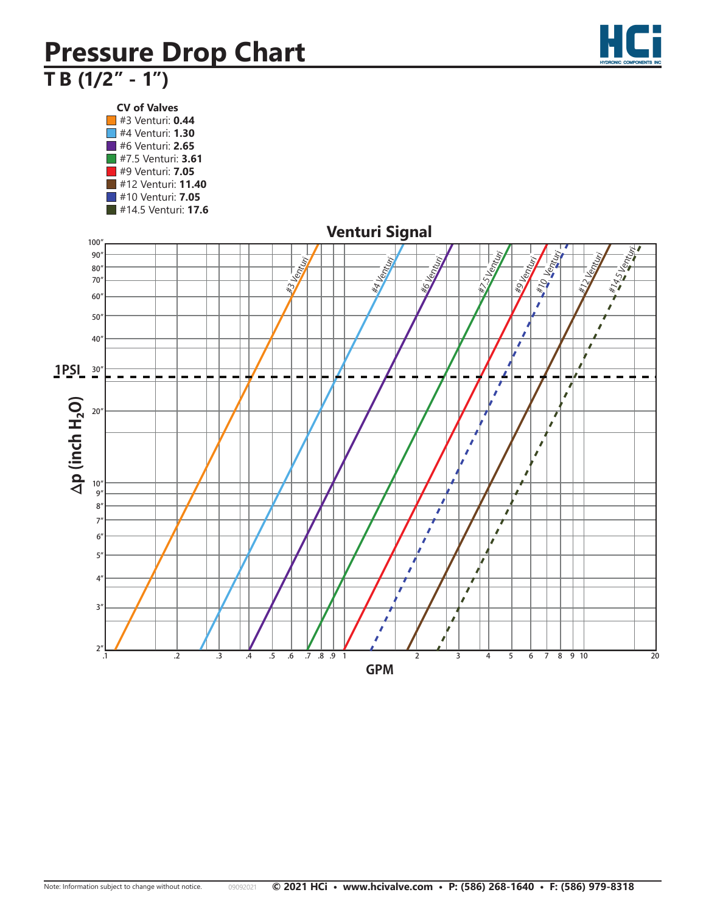## **Pressure Drop Chart T B (1/2" - 1") Terminator B (1/2"- 1")**

**CV of Valves** #3 Venturi: **0.44** #4 Venturi: **1.30** #6 Venturi: **2.65** #7.5 Venturi: **3.61** #9 Venturi: **7.05** #12 Venturi: **11.40** #10 Venturi: **7.05** #14.5 Venturi: **17.6**